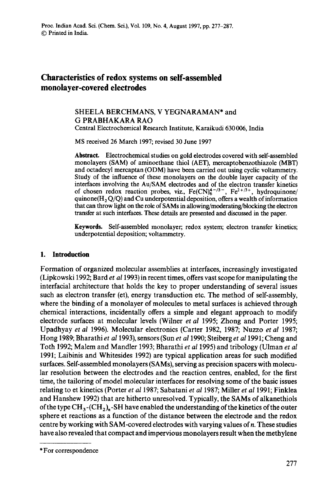# **Characteristics of redox systems on self-assembled monolayer-covered electrodes**

# SHEELA BERCHMANS, V YEGNARAMAN\* and G PRABHAKARA RAO

Central Electrochemical Research Institute, Karaikudi 630 006, India

MS received 26 March 1997; revised 30 June 1997

**Abstract.** Electrochemical studies on gold electrodes covered with self-assembled monolayers (SAM) of aminoethane thiol (AET), mercaptobenzothiazole (MBT) and octadecyl mercaptan (ODM) have been carried out using cyclic voltammetry. Study of the influence of these monolayers on the double layer capacity of the interfaces involving the Au/SAM electrodes and of the electron transfer kinetics of chosen redox reaction probes, viz.,  $Fe(CN)_6^{4-73-}$ ,  $Fe^{2+73+}$ , hydroquinone/ quinone( $H_2 Q/Q$ ) and Cu underpotential deposition, offers a wealth of information that can throw light on the role of SAMs in allowing/moderating/blocking the electron transfer at such interfaces. These details are presented and discussed in the paper.

Keywords. Self-assembled monolayer; redox system; electron transfer kinetics; underpotential deposition; voltammetry.

## **1. Introduction**

Formation of organized molecular assemblies at interfaces, increasingly investigated (Lipkowski 1992; Bard *et a11993)* in recent times, offers vast scope for manipulating the interfacial architecture that holds the key to proper understanding of several issues such as electron transfer (et), energy transduction etc. The method of self-assembly, where the binding of a monolayer of molecules to metal surfaces is achieved through chemical interactions, incidentally offers a simple and elegant approach to modify electrode surfaces at molecular levels (Wilner *et al* 1995; Zhong and Porter 1995; Upadhyay *et al* 1996). Molecular electronics (Carter 1982, 1987; Nuzzo *et al* 1987; Hong 1989; Bharathi *et al* 1993), sensors (Sun *et al* 1990; Steiberg *et a11991;* Cheng and Toth 1992; Malem and Mandler 1993; Bharathi et *at* 1995) and tribology (Ulman *et al*  1991; Laibinis and Whitesides 1992) are typical application areas for such modified surfaces. Self-assembled monolayers (SAMs), serving as precision spacers with molecular resolution between the electrodes and the reaction centres, enabled, for the first time, the tailoring of model molecular interfaces for resolving some of the basic issues relating to et kinetics (Porter *et al* 1987; Sabatani *et al* 1987; Miller *et al* 1991; Finklea and Hanshew 1992) that are hitherto unresolved. Typically, the SAMs of alkanethiols of the type  $CH_3$ -(CH<sub>2</sub>).-SH have enabled the understanding of the kinetics of the outer sphere et reactions as a function of the distance between the electrode and the redox centre by working with SAM-covered electrodes with varying values of  $n$ . These studies have also revealed that compact and impervious monolayers result when the methylene

<sup>\*</sup> For correspondence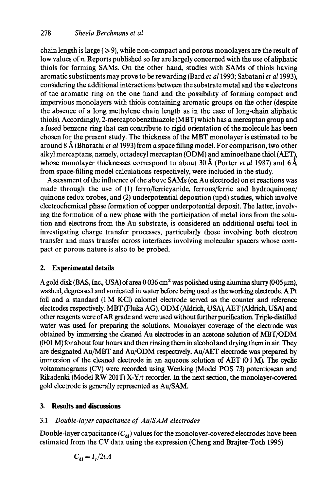chain length is large ( $\geqslant$  9), while non-compact and porous monolayers are the result of low values of n. Reports published so far are largely concerned with the use of aliphatic thiols for forming SAMs. On the other hand, studies with SAMs of thiols having aromatic substituents may prove to be rewarding (Bard *et a11993;* Sabatani *et al* 1993), considering the additional interactions between the substrate metal and the  $\pi$  electrons of the aromatic ring on the one hand and the possibility of forming compact and impervious monolayers with thiols containing aromatic groups on the other (despite the absence of a long methylene chain length as in the case of long-chain aliphatic thiols). Accordingly, 2-mercaptobenzthiazole (MBT) which has a mercaptan group and a fused benzene ring that can contribute to rigid orientation of the molecule has been chosen for the present study. The thickness of the MBT monolayer is estimated to be around 8/~ (Bharathi *et a11993)* from a space filling model. For comparison, two other alkyl mercaptans, namely, octadecyl mercaptan (ODM) and aminoethane thiol (AET), whose monolayer thicknesses correspond to about 30 Å (Porter *et al* 1987) and  $6\AA$ from space-filling model calculations respectively, were included in the study.

Assessment of the influence of the above SAMs (on Au electrode) on et reactions was made through the use of (1) ferro/ferricyanide, ferrous/ferric and hydroquinone/ quinone redox probes, and (2) underpotential deposition (upd) studies, which involve electrochemical phase formation of copper underpotential deposit. The latter, involving the formation of a new phase with the participation of metal ions from the solution and electrons from the Au substrate, is considered an additional useful tool in investigating charge transfer processes, particularly those involving both electron transfer and mass transfer across interfaces involving molecular spacers whose compact or porous nature is also to be probed.

## **2. Experimental details**

A gold disk (BAS, Inc., USA) of area  $0.036 \text{ cm}^2$  was polished using alumina slurry (005  $\mu$ m), washed, degreased and sonicated in water before being used as the working electrode. APt foil and a standard (1 M KC1) calomel electrode served as the counter and reference electrodes respectively. MBT (Fluka AG), ODM (Aldrich, USA), AET (Aldrich, USA) and other reagents were of AR grade and were used without further purification. Triple-distilled water was used for preparing the solutions. Monolayer coverage of the electrode was obtained by immersing the cleaned Au electrodes in an acetone solution of MBT/ODM (001 M) for about four hours and then rinsing them in alcohol and drying them in air. They are designated Au/MBT and Au/ODM respectively. Au/AET electrode was prepared by immersion of the cleaned electrode in an aqueous solution of AET (0-1 M). The cyclic voltammograms (CV) were recorded using Wenking (Model POS 73) potentioscan and Rikadenki (Model RW 201T) X-Y/t recorder. In the next section, the monolayer-covered gold electrode is generally represented as Au/SAM.

## **3. Results and discussions**

## *3.1 Double-layer capacitance of Au/SAM electrodes*

Double-layer capacitance  $(C_{d_l})$  values for the monolayer-covered electrodes have been estimated from the CV data using the expression (Cheng and Brajter-Toth 1995)

$$
C_{\rm dl} = I_c/2vA
$$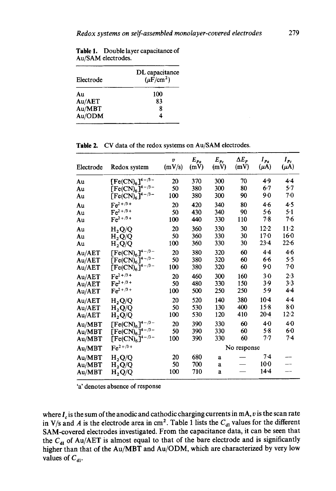| Electrode | DL capacitance<br>$(\mu \vec{F}/\text{cm}^2)$ |  |  |
|-----------|-----------------------------------------------|--|--|
| Au        | 100                                           |  |  |
| Au/AET    | 83                                            |  |  |
| Au/MBT    | ጸ                                             |  |  |
| Au/ODM    |                                               |  |  |

**Table** 1. Double layer capacitance of Au/SAM electrodes.

| Electrode | Redox system                   | $\boldsymbol{v}$<br>(mV/s) | $E_{Pa}$<br>(mV) | $E_{Pc}$<br>(mV) | $\Delta E_P$<br>(mV) | $I_{Pa}$<br>$(\mu A)$ | $I_{Pc}$<br>$(\mu A)$    |
|-----------|--------------------------------|----------------------------|------------------|------------------|----------------------|-----------------------|--------------------------|
| Au        | $[Fe(CN)_6]^{4-\frac{3}{2}}$   | 20                         | 370              | 300              | 70                   | 4.9                   | 4.4                      |
| Au<br>Au  | $[Fe(CN)6]4-/3-[Fe(CN)6]4-/3-$ | 50<br>100                  | 380<br>380       | 300<br>300       | 80<br>90             | $6-7$<br>9.0          | 5.7<br>7.0               |
| Au        | $Fe^{2+/3+}$                   | 20                         | 420              | 340              | 80                   | 4.6                   | 4.5                      |
| Au        | $Fe^{2+/3+}$                   | 50                         | 430              | 340              | 90                   | 5.6                   | 5.1                      |
| Au        | $Fe^{2+/3+}$                   | 100                        | 440              | 330              | 110                  | $7-8$                 | 7.6                      |
| Au        | $H_2Q/Q$                       | 20                         | 360              | 330              | 30                   | $12 - 2$              | $11-2$                   |
| Au        | $H_2Q/Q$                       | 50                         | 360              | 330              | 30                   | 170                   | 16 <sub>0</sub>          |
| Au        | $H_2Q/Q$                       | 100                        | 360              | 330              | 30                   | $23 - 4$              | 22.6                     |
| Au/AET    | $[Fe(CN)_6]^{4-\frac{3}{2}-}$  | 20                         | 380              | 320              | 60                   | 4.4                   | 4.6                      |
| Au/AET    | $[Fe(CN)_6]^{4-\frac{3}{2}-}$  | 50                         | 380              | 320              | 60                   | 6.6                   | 5.5                      |
| Au/AET    | $[Fe(CN)6]4-/3-$               | 100                        | 380              | 320              | 60                   | 9.0                   | 70                       |
| Au/AET    | $Fe^{2+/3+}$                   | 20                         | 460              | 300              | 160                  | $3-0$                 | 2.3                      |
| Au/AET    | $Fe^{2+/3+}$                   | 50                         | 480              | 330              | 150                  | 3.9                   | 3.3                      |
| Au/AET    | $Fe^{2+/3+}$                   | 100                        | 500              | 250              | 250                  | 5.9                   | 4.4                      |
| Au/AET    | $H_2Q/Q$                       | 20                         | 520              | 140              | 380                  | $10-4$                | 4.4                      |
| Au/AET    | $H_2Q/Q$                       | 50                         | 530              | 130              | 400                  | 15.8                  | $8-0$                    |
| Au/AET    | $H_2Q/Q$                       | 100                        | 530              | 120              | 410                  | $20 - 4$              | 12.2                     |
| Au/MBT    | $[Fe(CN)_6]^{4-\frac{3}{2}-}$  | 20                         | 390              | 330              | 60                   | 4 <sub>0</sub>        | 4.0                      |
| Au/MBT    | $[Fe(CN)6]^{4-/3-}$            | 50                         | 390              | 330              | 60                   | 5.8                   | 60                       |
| Au/MBT    | $[Fe(CN)_6]^{4-\frac{3}{2}-}$  | 100                        | 390              | 330              | 60                   | 7.7                   | $7-4$                    |
| Au/MBT    | $Fe^{2+/3+}$                   |                            |                  | No response      |                      |                       |                          |
| Au/MBT    | $H_2Q/Q$                       | 20                         | 680              | a                |                      | 7.4                   |                          |
| Au/MBT    | $H_2Q/Q$                       | 50                         | 700              | a                |                      | $10-0$                |                          |
| Au/MBT    | $\rm{H_2}Q/Q$                  | 100                        | 710              | a                |                      | $14-4$                | $\overline{\phantom{0}}$ |

**Table** 2. CV data of the redox systems on Au/SAM electrodes.

'a' denotes absence of response

where  $I_c$  is the sum of the anodic and cathodic charging currents in mA, v is the scan rate in V/s and A is the electrode area in cm<sup>2</sup>. Table 1 lists the  $C_{d1}$  values for the different SAM-covered electrodes investigated. From the capacitance data, it can be seen that the C<sub>dl</sub> of Au/AET is almost equal to that of the bare electrode and is significantly higher than that of the Au/MBT and Au/ODM, which are characterized by very low values of  $C_{\text{d}l}$ .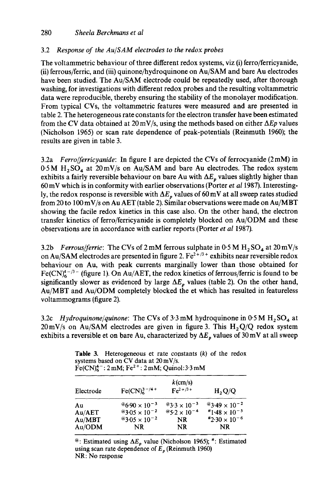# 3.2 *Response of the Au/SAM electrodes to the redox probes*

The voltammetric behaviour of three different redox systems, viz (i) ferro/ferricyanide, (ii) ferrous/ferric, and (iii) quinone/hydroquinone on Au/SAM and bare Au electrodes have been studied. The Au/SAM electrode could be repeatedly used, after thorough washing, for investigations with different redox probes and the resulting voltammetric data were reproducible, thereby ensuring the stability of the monolayer modification. From typical CVs, the voltammetric features were measured and are presented in table 2. The heterogeneous rate constants for the electron transfer have been estimated from the CV data obtained at  $20 \text{ mV/s}$ , using the methods based on either  $\Delta Ep$  values (Nicholson 1965) or scan rate dependence of peak-potentials (Reinmuth 1960); the results are given in table 3.

3.2a *Ferro/ferricyanide:* In figure 1 are depicted the CVs of ferrocyanide (2 mM) in  $0.5M$  H<sub>2</sub>SO<sub>4</sub> at 20 mV/s on Au/SAM and bare Au electrodes. The redox system exhibits a fairly reversible behaviour on bare Au with  $\Delta E_p$  values slightly higher than 60 mV which is in conformity with earlier observations (Porter *et al* 1987). Interestingly, the redox response is reversible with  $\Delta E_p$  values of 60 mV at all sweep rates studied from 20 to 100 mV/s on Au AET (table 2). Similar observations were made on Au/MBT showing the facile redox kinetics in this case also. On the other hand, the electron transfer kinetics of ferro/ferricyanide is completely blocked on Au/ODM and these observations are in accordance with earlier reports (Porter *et al* 1987).

3.2b *Ferrous/ferric:* The CVs of 2 mM ferrous sulphate in  $0.5 M H_2 SO_4$  at  $20 mV/s$ on Au/SAM electrodes are presented in figure 2.  $Fe^{2+/3+}$  exhibits near reversible redox behaviour on Au, with peak currents marginally lower than those obtained for  $Fe(CN)<sub>6</sub><sup>4-73</sup>$  (figure 1). On Au/AET, the redox kinetics of ferrous/ferric is found to be significantly slower as evidenced by large  $\Delta E_{p}$  values (table 2). On the other hand, Au/MBT and Au/ODM completely blocked the et which has resulted in featureless voltammograms (figure 2).

3.2c *Hydroquinone/quinone:* The CVs of  $3.3 \text{ mM}$  hydroquinone in  $0.5 \text{ M}$  H<sub>2</sub>SO<sub>4</sub> at  $20 \text{ mV/s}$  on Au/SAM electrodes are given in figure 3. This H<sub>2</sub>Q/Q redox system exhibits a reversible et on bare Au, characterized by  $\Delta E_p$  values of 30 mV at all sweep

**Table 3.** Heterogeneous et rate constants  $(k)$  of the redox systems based on CV data at 20 mV/s.  $Fe(CN)<sub>6</sub><sup>4-</sup>: 2 mM; Fe<sup>2+</sup>: 2 mM; Quinol:3.3 mM$ 

| Electrode                  | $Fe(CN)63-/4+$                            | $k$ (cm/s)<br>$Fe^{2+/3+}$     | $H_2Q/Q$                           |
|----------------------------|-------------------------------------------|--------------------------------|------------------------------------|
| Au                         | $\frac{26.90 \times 10^{-3}}{1}$          | @3.3 $\times$ 10 <sup>-3</sup> | $*$ 3.49 $\times$ 10 <sup>-2</sup> |
| Au/AET                     | <sup><i>®</i>3⋅05 × 10<sup>-2</sup></sup> | @5.2 $\times$ 10 <sup>-4</sup> | $*1.48 \times 10^{-5}$             |
| $\mathbf{Au}/\mathbf{MBT}$ | <sup><i>®</i>3⋅05 × 10<sup>-2</sup></sup> | NR.                            | $*2.30 \times 10^{-6}$             |
| Au/ODM                     | NR.                                       | NR.                            | <b>NR</b>                          |

<sup>@</sup>: Estimated using  $\Delta E_p$  value (Nicholson 1965); #: Estimated using scan rate dependence of  $E_p$  (Reinmuth 1960) NR: No response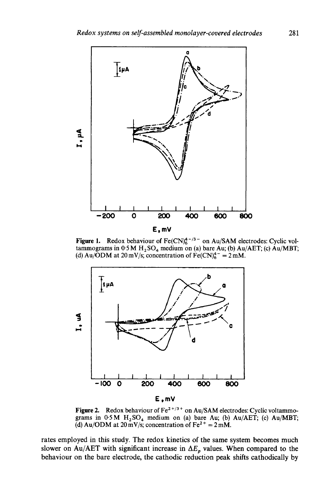

**Figure 1.** Redox behaviour of  $Fe(CN)_6^{4/3}$  on Au/SAM electrodes: Cyclic voltammograms in  $0.5 M H_2SO_4$  medium on (a) bare Au; (b) Au/AET; (c) Au/MBT; (d) Au/ODM at 20 mV/s; concentration of  $Fe(CN)_6^4$  = 2 mM.



Figure 2. Redox behaviour of Fe<sup>2+/3+</sup> on Au/SAM electrodes: Cyclic voltammograms in  $0.5 M$  H<sub>2</sub>SO<sub>4</sub> medium on (a) bare Au; (b) Au/AET; (c) Au/MBT; (d) Au/ODM at  $20 \text{ mV/s}$ ; concentration of Fe<sup>2+</sup> = 2 mM.

rates employed in this study. The redox kinetics of the same system becomes much slower on Au/AET with significant increase in  $\Delta E_p$  values. When compared to the behaviour on the bare electrode, the cathodic reduction peak shifts cathodically by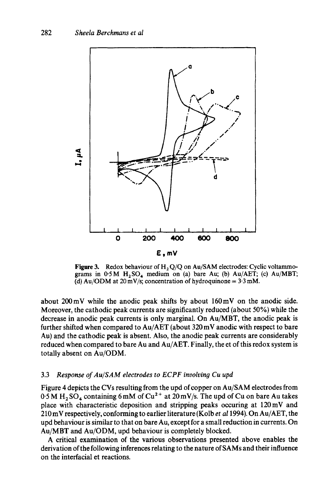

Figure 3. Redox behaviour of  $H_2 Q/Q$  on Au/SAM electrodes: Cyclic voltammograms in  $0.5M$  H<sub>2</sub>SO<sub>4</sub> medium on (a) bare Au; (b) Au/AET; (c) Au/MBT; (d) Au/ODM at  $20 \text{ mV/s}$ ; concentration of hydroquinone =  $3.3 \text{ mM}$ .

about 200mV while the anodic peak shifts by about 160mV on the anodic side. Moreover, the cathodic peak currents are significantly reduced (about 50%) while the decrease in anodic peak currents is only marginal. On Au/MBT, the anodic peak is further shifted when compared to Au/AET (about 320 mV anodic with respect to bare Au) and the cathodic peak is absent. Also, the anodic peak currents are considerably reduced when compared to bare Au and Au/AET. Finally, the et of this redox system is totally absent on Au/ODM.

#### 3.3 *Response of Au/SAM electrodes to ECPF involving Cu upd*

Figure 4 depicts the CVs resulting from the upd of copper on Au/SAM electrodes from  $0.5$  M  $\text{H}_2$  SO<sub>4</sub> containing 6 mM of Cu<sup>2+</sup> at 20 mV/s. The upd of Cu on bare Au takes place with characteristic deposition and stripping peaks occuring at 120mV and 210 mV respectively, conforming to earlier literature (Kolb *et al* 1994). On Au/AET, the upd behaviour is similar to that on bare Au, except for a small reduction in currents. On Au/MBT and Au/ODM, upd behaviour is completely blocked.

A critical examination of the various observations presented above enables the derivation of the following inferences relating to the nature of SAMs and their influence on the interfacial et reactions.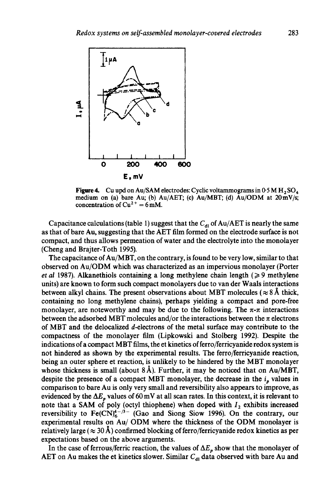

Figure 4. Cu upd on Au/SAM electrodes: Cyclic voltammograms in  $0.5 M H_2 SO_4$ medium on (a) bare Au; (b) Au/AET; (c) Au/MBT; (d) Au/ODM at 20mV/s; concentration of  $Cu^{2+} = 6$  mM.

Capacitance calculations (table 1) suggest that the  $C_{d1}$  of Au/AET is nearly the same as that of bare Au, suggesting that the AET film formed on the electrode surface is not compact, and thus allows permeation of water and the electrolyte into the monolayer (Cbeng and Brajter-Toth 1995).

The capacitance of Au/MBT, on the contrary, is found to be very low, similar to that observed on Au/ODM which was characterized as an impervious monolayer (Porter *et al* 1987). Alkanethiols containing a long methylene chain length ( $\geq$ 9 methylene units) are known to form such compact monolayers due to van der Waals interactions between alkyl chains. The present observations about MBT molecules ( $\approx 8 \text{ Å}$  thick, containing no long methylene chains), perhaps yielding a compact and pore-free monolayer, are noteworthy and may be due to the following. The  $\pi$ - $\pi$  interactions between the adsorbed MBT molecules and/or the interactions between the  $\pi$  electrons of MBT and the delocalized d-electrons of the metal surface may contribute to the compactness of the monolayer film (Lipkowski and Stolberg 1992). Despite the indications of a compact MBT films, the et kinetics of ferro/ferricyanide redox system is not hindered as shown by the experimental results. The ferro/ferricyanide reaction, being an outer sphere et reaction, is unlikely to be hindered by the MBT monolayer whose thickness is small (about  $8\text{\AA}$ ). Further, it may be noticed that on Au/MBT, despite the presence of a compact MBT monolayer, the decrease in the  $i_p$  values in comparison to bare Au is only very small and reversibility also appears to improve, as evidenced by the  $\Delta E_p$  values of 60 mV at all scan rates. In this context, it is relevant to note that a SAM of poly (octyl thiophene) when doped with  $I_2$  exhibits increased reversibility to  $Fe(CN)<sub>6</sub><sup>4-/-/3-</sup>$  (Gao and Siong Siow 1996). On the contrary, our experimental results on Au/ODM where the thickness of the ODM monolayer is relatively large ( $\approx 30~\text{\AA}$ ) confirmed blocking of ferro/ferricyanide redox kinetics as per expectations based on the above arguments.

In the case of ferrous/ferric reaction, the values of  $\Delta E_p$  show that the monolayer of AET on Au makes the et kinetics slower. Similar  $C_{d1}$  data observed with bare Au and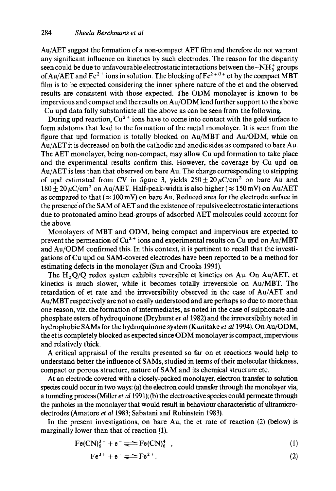Au/AET suggest the formation of a non-compact AET film and therefore do not warrant any significant influence on kinetics by such electrodes. The reason for the disparity seen could be due to unfavourable electrostatic interactions between the  $-NH_3^+$  groups of Au/AET and Fe<sup>2+</sup> ions in solution. The blocking of Fe<sup>2+/3+</sup> et by the compact MBT film is to be expected considering the inner sphere nature of the et and the observed results are consistent with those expected. The ODM monolayer is known to be impervious and compact and the results on Au/ODM lend further support to the above Cu upd data fully substantiate all the above as can be seen from the following.

During upd reaction,  $Cu^{2+}$  ions have to come into contact with the gold surface to form adatoms that lead to the formation of the metal monolayer. It is seen from the figure that upd formation is totally blocked on Au/MBT and Au/ODM, while on Au/AET it is decreased on both the cathodic and anodic sides as compared to bare Au. The AET monolayer, being non-compact, may allow Cu upd formation to take place and the experimental results confirm this. However, the coverage by Cu upd on Au/AET is less than that observed on bare Au. The charge corresponding to stripping of upd estimated from CV in figure 3, yields  $250 \pm 20 \mu C/cm^2$  on bare Au and  $180 + 20 \,\mu$ C/cm<sup>2</sup> on Au/AET. Half-peak-width is also higher ( $\approx 150$  mV) on Au/AET as compared to that ( $\approx 100$  mV) on bare Au. Reduced area for the electrode surface in the presence of the SAM of AET and the existence of repulsive electrostatic interactions due to protonated amino head-groups of adsorbed AET molecules could account for the above.

Monolayers of MBT and ODM, being compact and impervious are expected to prevent the permeation of  $Cu^{2+}$  ions and experimental results on Cu upd on Au/MBT and Au/ODM confirmed this. In this context, it is pertinent to recall that the investigations of Cu upd on SAM-covered electrodes have been reported to be a method for estimating defects in the monolayer (Sun and Crooks 1991).

The  $H_2Q/Q$  redox system exhibits reversible et kinetics on Au. On Au/AET, et kinetics is much slower, while it becomes totally irreversible on Au/MBT. The retardation of et rate and the irreversibility observed in the case of Au/AET and Au/MBT respectively are not so easily understood and are perhaps so due to more than one reason, viz. the formation of intermediates, as noted in the case of sulphonate and phosphate esters of hydroquinone (Dryhurst *et a11982)* and the irreversibility noted in hydrophobic SAMs for the hydroquinone system (Kunitake *et a11994).* On Au/ODM, the et is completely blocked as expected since ODM monolayer is compact, impervious and relatively thick.

A critical appraisal of the results presented so far on et reactions would help to understand better the influence of SAMs, studied in terms of their molecular thickness, compact or porous structure, nature of SAM and its chemical structure etc.

At an electrode covered with a closely-packed monolayer, electron transfer to solution species could occur in two ways: (a) the electron could transfer through the monolayer via, a tunneling process (Miller *et a11991);* (b) the electroactive species could permeate through the pinholes in the monolayer that would result in behaviour characteristic of ultramicroelectrodes (Amatore *et al* 1983; Sabatani and Rubinstein 1983).

In the present investigations, on bare Au, the et rate of reaction (2) (below) is marginally lower than that of reaction (1).

$$
Fe(CN)_{6}^{3-} + e^{-} \rightleftharpoons Fe(CN)_{6}^{4-}, \tag{1}
$$

$$
Fe^{3+} + e^- \rightleftharpoons Fe^{2+}.
$$
 (2)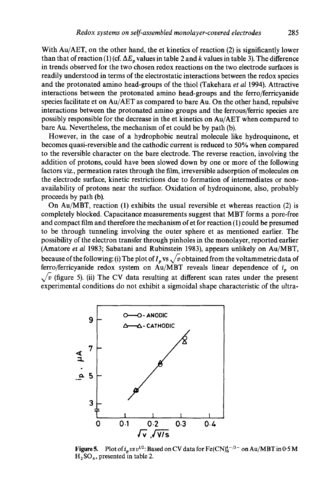With  $Au/AET$ , on the other hand, the et kinetics of reaction (2) is significantly lower than that of reaction (1) (cf.  $\Delta E_p$  values in table 2 and k values in table 3). The difference in trends observed for the two chosen redox reactions on the two electrode surfaces is readily understood in terms of the electrostatic interactions between the redox species and the protonated amino head-groups of the thiol (Takehara *et al* 1994). Attractive interactions between the protonated amino head-groups and the ferro/ferricyanide species facilitate et on Au/AET as compared to bare Au. On the other hand, repulsive interactions between the protonated amino groups and the ferrous/ferric species are possibly responsible for the decrease in the et kinetics on Au/AET when compared to bare Au. Nevertheless, the mechanism of et could be by path (b).

However, in the case of a hydrophobic neutral molecule like hydroquinone, et becomes quasi-reversible and the cathodic current is reduced to 50% when compared to the reversible character on the bare electrode. The reverse reaction, involving the addition of protons, could have been slowed down by one or more of the following factors viz., permeation rates through the film, irreversible adsorption of molecules on the electrode surface, kinetic restrictions due to formation of intermediates or nonavailability of protons near the surface. Oxidation of hydroquinone, also, probably proceeds by path (b).

On Au/MBT, reaction (1) exhibits the usual reversible et whereas reaction (2) is completely blocked. Capacitance measurements suggest that MBT forms a pore-free and compact film and therefore the mechanism of et for reaction (1) could be presumed to be through tunneling involving the outer sphere et as mentioned earlier. The possibility of the electron transfer through pinholes in the monolayer, reported earlier (Amatore *et al* 1983; Sabatani and Rubinstein 1983), appears unlikely on Au/MBT, because of the following: (i) The plot of  $I_p$  vs  $\sqrt{v}$  obtained from the voltammetric data of ferro/ferricyanide redox system on Au/MBT reveals linear dependence of  $i<sub>n</sub>$  on  $\sqrt{v}$  (figure 5). (ii) The CV data resulting at different scan rates under the present experimental conditions do not exhibit a sigmoidal shape characteristic of the ultra-



Figure 5. Plot of  $i_p v s v^{1/2}$ : Based on CV data for Fe(CN)<sup>4-/3-</sup> on Au/MBT in 0-5 M  $H_2$ SO<sub>4</sub>, presented in table 2.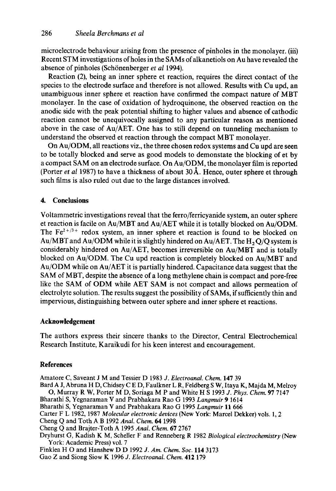microelectrode behaviour arising from the presence of pinholes in the monolayer. (iii) Recent STM investigations of holes in the SAMs of alkanetiols on Au have revealed the absence of pinholes (Schönenberger *et al* 1994).

Reaction (2), being an inner sphere et reaction, requires the direct contact of the species to the electrode surface and therefore is not allowed. Results with Cu upd, an unambiguous inner sphere et reaction have confirmed the compact nature of MBT monolayer. In the case of oxidation of hydroquinone, the observed reaction on the anodic side with the peak potential shifting to higher values and absence of cathodic reaction cannot be unequivocally assigned to any particular reason as mentioned above in the case of Au/AET. One has to still depend on tunneling mechanism to understand the observed et reaction through the compact MBT monolayer.

On Au/ODM, all reactions viz., the three chosen redox systems and Cu upd are seen to be totally blocked and serve as good models to demonstate the blocking of et by a compact SAM on an electrode surface. On Au/ODM, the monolayer film is reported (Porter *et al* 1987) to have a thickness of about  $30 \text{ Å}$ . Hence, outer sphere et through such films is also ruled out due to the large distances involved.

#### **4. Conclusions**

Voltammetric investigations reveal that the ferro/ferricyanide system, an outer sphere et reaction is facile on Au/MBT and Au/AET while it is totally blocked on Au/ODM. The  $Fe^{2+/3+}$  redox system, an inner sphere et reaction is found to be blocked on Au/MBT and Au/ODM while it is slightly hindered on Au/AET. The  $H_2$  O/O system is considerably hindered on Au/AET, becomes irreversible on Au/MBT and is totally blocked on Au/ODM. The Cu upd reaction is completely blocked on Au/MBT and Au/ODM while on Au/AET it is partially hindered. Capacitance data suggest that the SAM of MBT, despite the absence of a long methylene chain is compact and pore-free like the SAM of ODM while AET SAM is not compact and allows permeation of electrolyte solution. The results suggest the possibility of SAMs, if sufficiently thin and impervious, distinguishing between outer sphere and inner sphere et reactions.

#### **Acknowledgement**

The authors express their sincere thanks to the Director, Central Electrochemical Research Institute, Karaikudi for his keen interest and encouragement.

#### **References**

Amatore C, Saveant J M and Tessier D 1983 *J. Electroanal. Chem.* 147 39 Bard A J, Abruna H D, Chidsey C E D, Faulkner L R, Feldberg S W, Itaya K, Majda M, Melroy O, Murray R W, Porter M D, Soriaga M P and White H S 1993 *J. Phys. Chem.* 97 7147 Bharathi S, Yegnaraman V and Prabhakara Rao G 1993 *Langmuir* 9 1614 Bharathi S, Yegnaraman V and Prabhakara Rao G 1995 *Langmuir* 11 666 Carter F L 1982, 1987 *Molecular electronic devices* (New York: Marcel Dekker) vols. 1, 2 Cheng Q and Toth A B 1992 *Anal. Chem. 64* 1998 Cheng Q and Brajter-Toth A 1995 *Anal. Chem.* 67 2767 Dryhurst G, Kadish K M, Scheller F and Renneberg R 1982 *Biological electrochemistry* (New York: Academic Press) vol. 7 Finklea H O and Hanshew D D 1992 *J. Am. Chem. Soc.* 114 3173 Gao Z and Siong Siow K 1996 *J. Electroanal. Chem.* 412 179